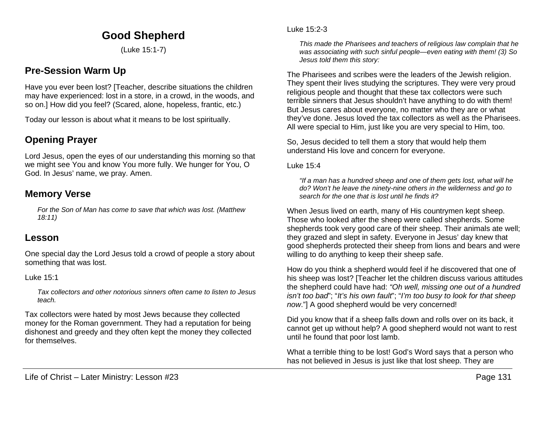# **Good Shepherd**

(Luke 15:1-7)

## **Pre-Session Warm Up**

Have you ever been lost? [Teacher, describe situations the children may have experienced: lost in a store, in a crowd, in the woods, and so on.] How did you feel? (Scared, alone, hopeless, frantic, etc.)

Today our lesson is about what it means to be lost spiritually.

## **Opening Prayer**

Lord Jesus, open the eyes of our understanding this morning so that we might see You and know You more fully. We hunger for You, O God. In Jesus' name, we pray. Amen.

## **Memory Verse**

*For the Son of Man has come to save that which was lost. (Matthew 18:11)*

## **Lesson**

One special day the Lord Jesus told a crowd of people a story about something that was lost.

Luke 15:1

*Tax collectors and other notorious sinners often came to listen to Jesus teach.* 

Tax collectors were hated by most Jews because they collected money for the Roman government. They had a reputation for being dishonest and greedy and they often kept the money they collected for themselves.

Luke 15:2-3

*This made the Pharisees and teachers of religious law complain that he was associating with such sinful people—even eating with them! (3) So Jesus told them this story:*

The Pharisees and scribes were the leaders of the Jewish religion. They spent their lives studying the scriptures. They were very proud religious people and thought that these tax collectors were such terrible sinners that Jesus shouldn't have anything to do with them! But Jesus cares about everyone, no matter who they are or what they've done. Jesus loved the tax collectors as well as the Pharisees. All were special to Him, just like you are very special to Him, too.

So, Jesus decided to tell them a story that would help them understand His love and concern for everyone.

Luke 15:4

*"If a man has a hundred sheep and one of them gets lost, what will he do? Won't he leave the ninety-nine others in the wilderness and go to search for the one that is lost until he finds it?*

When Jesus lived on earth, many of His countrymen kept sheep. Those who looked after the sheep were called shepherds. Some shepherds took very good care of their sheep. Their animals ate well; they grazed and slept in safety. Everyone in Jesus' day knew that good shepherds protected their sheep from lions and bears and were willing to do anything to keep their sheep safe.

How do you think a shepherd would feel if he discovered that one of his sheep was lost? [Teacher let the children discuss various attitudes the shepherd could have had: *"Oh well, missing one out of a hundred isn't too bad*"; "*It's his own fault*"; "*I'm too busy to look for that sheep now*."] A good shepherd would be very concerned!

Did you know that if a sheep falls down and rolls over on its back, it cannot get up without help? A good shepherd would not want to rest until he found that poor lost lamb.

What a terrible thing to be lost! God's Word says that a person who has not believed in Jesus is just like that lost sheep. They are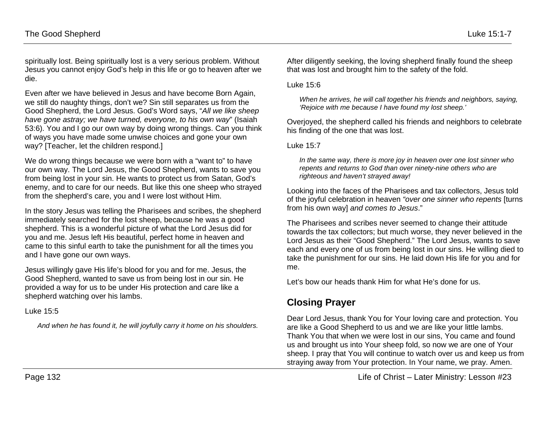spiritually lost. Being spiritually lost is a very serious problem. Without Jesus you cannot enjoy God's help in this life or go to heaven after we die.

Even after we have believed in Jesus and have become Born Again, we still do naughty things, don't we? Sin still separates us from the Good Shepherd, the Lord Jesus. God's Word says, "*All we like sheep have gone astray; we have turned, everyone, to his own way*" (Isaiah 53:6). You and I go our own way by doing wrong things. Can you think of ways you have made some unwise choices and gone your own way? [Teacher, let the children respond.]

We do wrong things because we were born with a "want to" to have our own way. The Lord Jesus, the Good Shepherd, wants to save you from being lost in your sin. He wants to protect us from Satan, God's enemy, and to care for our needs. But like this one sheep who strayed from the shepherd's care, you and I were lost without Him.

In the story Jesus was telling the Pharisees and scribes, the shepherd immediately searched for the lost sheep, because he was a good shepherd. This is a wonderful picture of what the Lord Jesus did for you and me. Jesus left His beautiful, perfect home in heaven and came to this sinful earth to take the punishment for all the times you and I have gone our own ways.

Jesus willingly gave His life's blood for you and for me. Jesus, the Good Shepherd, wanted to save us from being lost in our sin. He provided a way for us to be under His protection and care like a shepherd watching over his lambs.

Luke 15:5

*And when he has found it, he will joyfully carry it home on his shoulders.*

After diligently seeking, the loving shepherd finally found the sheep that was lost and brought him to the safety of the fold.

Luke 15:6

*When he arrives, he will call together his friends and neighbors, saying, 'Rejoice with me because I have found my lost sheep.'*

Overjoyed, the shepherd called his friends and neighbors to celebrate his finding of the one that was lost.

Luke 15:7

*In the same way, there is more joy in heaven over one lost sinner who repents and returns to God than over ninety-nine others who are righteous and haven't strayed away!*

Looking into the faces of the Pharisees and tax collectors, Jesus told of the joyful celebration in heaven *"over one sinner who repents* [turns from his own way] *and comes to Jesus*."

The Pharisees and scribes never seemed to change their attitude towards the tax collectors; but much worse, they never believed in the Lord Jesus as their "Good Shepherd." The Lord Jesus, wants to save each and every one of us from being lost in our sins. He willing died to take the punishment for our sins. He laid down His life for you and for me.

Let's bow our heads thank Him for what He's done for us.

## **Closing Prayer**

Dear Lord Jesus, thank You for Your loving care and protection. You are like a Good Shepherd to us and we are like your little lambs. Thank You that when we were lost in our sins, You came and found us and brought us into Your sheep fold, so now we are one of Your sheep. I pray that You will continue to watch over us and keep us from straying away from Your protection. In Your name, we pray. Amen.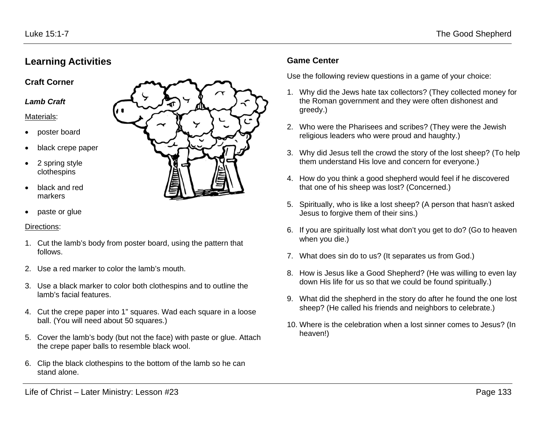### **Learning Activities**

### **Craft Corner**

#### *Lamb Craft*

#### Materials:

- poster board
- black crepe paper
- 2 spring style clothespins
- black and red markers
- paste or glue

### Directions:

- 1. Cut the lamb's body from poster board, using the pattern that follows.
- 2. Use a red marker to color the lamb's mouth.
- 3. Use a black marker to color both clothespins and to outline the lamb's facial features.
- 4. Cut the crepe paper into 1" squares. Wad each square in a loose ball. (You will need about 50 squares.)
- 5. Cover the lamb's body (but not the face) with paste or glue. Attach the crepe paper balls to resemble black wool.
- 6. Clip the black clothespins to the bottom of the lamb so he can stand alone.



### **Game Center**

Use the following review questions in a game of your choice:

- 1. Why did the Jews hate tax collectors? (They collected money for the Roman government and they were often dishonest and greedy.)
- 2. Who were the Pharisees and scribes? (They were the Jewish religious leaders who were proud and haughty.)
- 3. Why did Jesus tell the crowd the story of the lost sheep? (To help them understand His love and concern for everyone.)
- 4. How do you think a good shepherd would feel if he discovered that one of his sheep was lost? (Concerned.)
- 5. Spiritually, who is like a lost sheep? (A person that hasn't asked Jesus to forgive them of their sins.)
- 6. If you are spiritually lost what don't you get to do? (Go to heaven when you die.)
- 7. What does sin do to us? (It separates us from God.)
- 8. How is Jesus like a Good Shepherd? (He was willing to even lay down His life for us so that we could be found spiritually.)
- 9. What did the shepherd in the story do after he found the one lost sheep? (He called his friends and neighbors to celebrate.)
- 10. Where is the celebration when a lost sinner comes to Jesus? (In heaven!)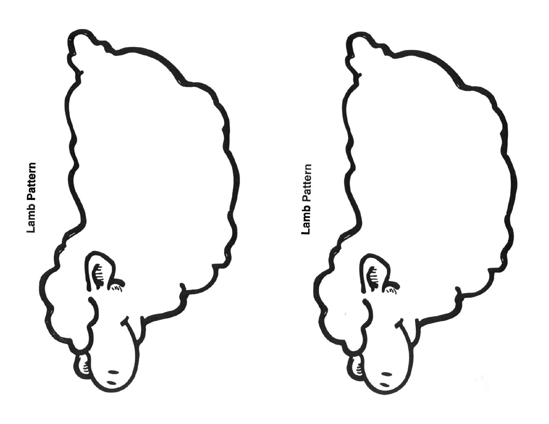